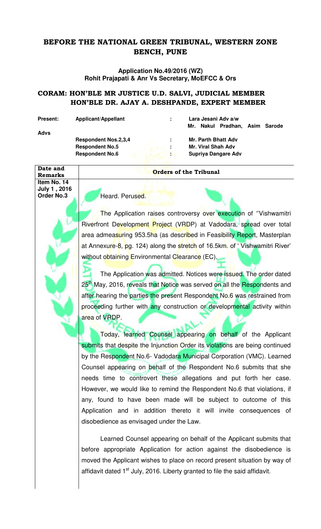## **BEFORE THE NATIONAL GREEN TRIBUNAL, WESTERN ZONE BENCH, PUNE**

**Application No.49/2016 (WZ) Rohit Prajapati & Anr Vs Secretary, MoEFCC & Ors** 

## **CORAM: HON'BLE MR JUSTICE U.D. SALVI, JUDICIAL MEMBER HON'BLE DR. AJAY A. DESHPANDE, EXPERT MEMBER**

**Advs** 

Present: Applicant/Appellant : Lara Jesani Adv a/w

 **Mr. Nakul Pradhan, Asim Sarode** 

Respondent Nos.2,3,4 **: Mr. Parth Bhatt Adv Respondent No.5 : Mr. Viral Shah Adv** 

 **Respondent No.6 3. In the Supriya Dangare Adv** 

## **Remarks** *Constant Constant Constant Constant Constant Constant Constant Constant Constant Constant Constant Constant Constant Constant Constant Constant Constant Constant Constant Constant Constant Constant Constant Con*

**Item No. 14 July 1 , 2016** 

**Date and** 

**Order No.3 Heard. Perused.** 

The Application raises controversy over execution of "Vishwamitri Riverfront Development Project (VRDP) at Vadodara, spread over total area admeasuring 953.5ha (as described in Feasibility Report, Masterplan at Annexure-8, pg. 124) along the stretch of 16.5km. of 'Vishwamitri River' without obtaining Environmental Clearance (EC).

The Application was admitted. Notices were issued. The order dated 25<sup>th</sup> May, 2016, reveals that Notice was served on all the Respondents and after hearing the parties the present Respondent No.6 was restrained from proceeding further with any construction or developmental activity within area of VRDP.

Today, learned Counsel appearing on behalf of the Applicant submits that despite the Injunction Order its violations are being continued by the Respondent No.6- Vadodara Municipal Corporation (VMC). Learned Counsel appearing on behalf of the Respondent No.6 submits that she needs time to controvert these allegations and put forth her case. However, we would like to remind the Respondent No.6 that violations, if any, found to have been made will be subject to outcome of this Application and in addition thereto it will invite consequences of disobedience as envisaged under the Law.

 Learned Counsel appearing on behalf of the Applicant submits that before appropriate Application for action against the disobedience is moved the Applicant wishes to place on record present situation by way of affidavit dated 1<sup>st</sup> July, 2016. Liberty granted to file the said affidavit.